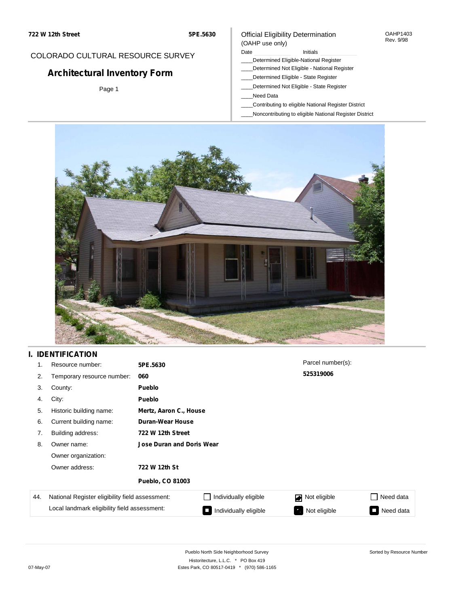#### OAHP1403 Rev. 9/98

### COLORADO CULTURAL RESOURCE SURVEY

# **Architectural Inventory Form**

Page 1

#### (OAHP use only) Date **Initials** Initials

Official Eligibility Determination

- \_\_\_\_Determined Eligible-National Register
- \_\_\_\_Determined Not Eligible National Register
- \_\_\_\_Determined Eligible State Register
- \_\_\_\_Determined Not Eligible State Register
- \_\_\_\_Need Data
- \_\_\_\_Contributing to eligible National Register District
- \_\_\_\_Noncontributing to eligible National Register District



### **I. IDENTIFICATION**

| 1.  | Resource number:                                | 5PE.5630                         |                        | Parcel number(s): |                     |  |  |  |  |
|-----|-------------------------------------------------|----------------------------------|------------------------|-------------------|---------------------|--|--|--|--|
| 2.  | Temporary resource number:                      | 060                              |                        | 525319006         |                     |  |  |  |  |
| 3.  | County:                                         | <b>Pueblo</b>                    |                        |                   |                     |  |  |  |  |
| 4.  | City:                                           | <b>Pueblo</b>                    |                        |                   |                     |  |  |  |  |
| 5.  | Historic building name:                         |                                  | Mertz, Aaron C., House |                   |                     |  |  |  |  |
| 6.  | Current building name:                          | Duran-Wear House                 |                        |                   |                     |  |  |  |  |
| 7.  | Building address:                               | 722 W 12th Street                |                        |                   |                     |  |  |  |  |
| 8.  | Owner name:                                     | <b>Jose Duran and Doris Wear</b> |                        |                   |                     |  |  |  |  |
|     | Owner organization:                             |                                  |                        |                   |                     |  |  |  |  |
|     | Owner address:                                  | 722 W 12th St                    |                        |                   |                     |  |  |  |  |
|     |                                                 | <b>Pueblo, CO 81003</b>          |                        |                   |                     |  |  |  |  |
| 44. | National Register eligibility field assessment: |                                  | Individually eligible  | Not eligible      | Need data<br>$\sim$ |  |  |  |  |
|     | Local landmark eligibility field assessment:    |                                  | Individually eligible  | Not eligible      | Need data<br>σ      |  |  |  |  |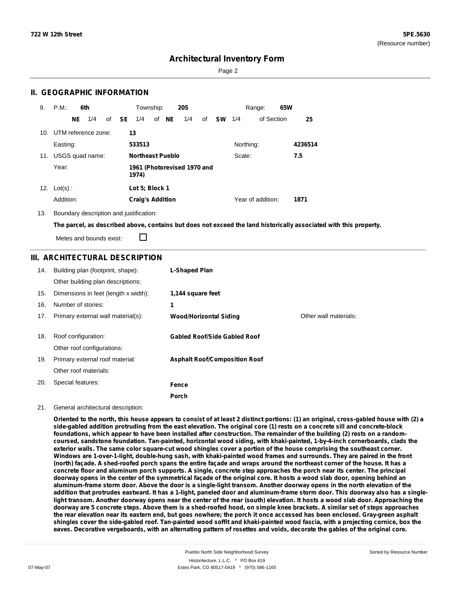Page 2

### **II. GEOGRAPHIC INFORMATION**

| 9.  | P.M.                    |    | 6th             |                                      |              | Township:               |  |       | <b>20S</b> |    |           |           | Range:            | 65W |         |
|-----|-------------------------|----|-----------------|--------------------------------------|--------------|-------------------------|--|-------|------------|----|-----------|-----------|-------------------|-----|---------|
|     |                         | NE | 1/4             |                                      | of <b>SE</b> | 1/4                     |  | of NE | 1/4        | of | <b>SW</b> | 1/4       | of Section        |     | 25      |
|     | 10. UTM reference zone: |    |                 |                                      |              | 13                      |  |       |            |    |           |           |                   |     |         |
|     | Easting:                |    |                 |                                      |              | 533513                  |  |       |            |    |           | Northing: |                   |     | 4236514 |
| 11. |                         |    | USGS quad name: |                                      |              | <b>Northeast Pueblo</b> |  |       |            |    |           | Scale:    |                   |     | 7.5     |
|     | Year:                   |    |                 | 1961 (Photorevised 1970 and<br>1974) |              |                         |  |       |            |    |           |           |                   |     |         |
| 12. | $Lot(s)$ :              |    |                 |                                      |              | Lot 5: Block 1          |  |       |            |    |           |           |                   |     |         |
|     | Addition:               |    |                 |                                      |              | <b>Craig's Addition</b> |  |       |            |    |           |           | Year of addition: |     | 1871    |

13. Boundary description and justification:

The parcel, as described above, contains but does not exceed the land historically associated with this property.

Metes and bounds exist:

П

### **III. ARCHITECTURAL DESCRIPTION**

| 14. | Building plan (footprint, shape):<br>Other building plan descriptions: | <b>L-Shaped Plan</b>                 |                       |
|-----|------------------------------------------------------------------------|--------------------------------------|-----------------------|
| 15. | Dimensions in feet (length x width):                                   | 1,144 square feet                    |                       |
| 16. | Number of stories:                                                     | 1                                    |                       |
| 17. | Primary external wall material(s):                                     | <b>Wood/Horizontal Siding</b>        | Other wall materials: |
|     |                                                                        |                                      |                       |
| 18. | Roof configuration:                                                    | <b>Gabled Roof/Side Gabled Roof</b>  |                       |
|     | Other roof configurations:                                             |                                      |                       |
| 19. | Primary external roof material:                                        | <b>Asphalt Roof/Composition Roof</b> |                       |
|     | Other roof materials:                                                  |                                      |                       |
| 20. | Special features:                                                      | Fence                                |                       |
|     |                                                                        | Porch                                |                       |

#### 21. General architectural description:

Oriented to the north, this house appears to consist of at least 2 distinct portions: (1) an original, cross-gabled house with (2) a side-gabled addition protruding from the east elevation. The original core (1) rests on a concrete sill and concrete-block foundations, which appear to have been installed after construction. The remainder of the building (2) rests on a random**coursed, sandstone foundation. Tan-painted, horizontal wood siding, with khaki-painted, 1-by-4-inch cornerboards, clads the** exterior walls. The same color square-cut wood shingles cover a portion of the house comprising the southeast corner. Windows are 1-over-1-light, double-hung sash, with khaki-painted wood frames and surrounds. They are paired in the front (north) façade. A shed-roofed porch spans the entire façade and wraps around the northeast corner of the house. It has a concrete floor and aluminum porch supports. A single, concrete step approaches the porch near its center. The principal doorway opens in the center of the symmetrical facade of the original core. It hosts a wood slab door, opening behind an aluminum-frame storm door. Above the door is a single-light transom. Another doorway opens in the north elevation of the addition that protrudes eastward. It has a 1-light, paneled door and aluminum-frame storm door. This doorway also has a singlelight transom. Another doorway opens near the center of the rear (south) elevation. It hosts a wood slab door. Approaching the doorway are 5 concrete steps. Above them is a shed-roofed hood, on simple knee brackets. A similar set of steps approaches the rear elevation near its eastern end, but goes nowhere; the porch it once accessed has been enclosed. Gray-green asphalt shingles cover the side-gabled roof. Tan-painted wood soffit and khaki-painted wood fascia, with a projecting cornice, box the eaves. Decorative vergeboards, with an alternating pattern of rosettes and voids, decorate the gables of the original core.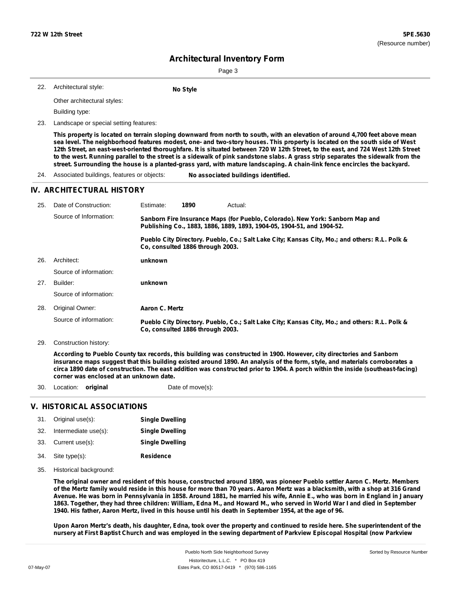Page 3

|  | 22. Architectural style: |  |
|--|--------------------------|--|
|--|--------------------------|--|

Other architectural styles:

Building type:

23. Landscape or special setting features:

This property is located on terrain sloping downward from north to south, with an elevation of around 4,700 feet above mean sea level. The neighborhood features modest, one- and two-story houses. This property is located on the south side of West 12th Street, an east-west-oriented thoroughfare. It is situated between 720 W 12th Street, to the east, and 724 West 12th Street to the west. Running parallel to the street is a sidewalk of pink sandstone slabs. A grass strip separates the sidewalk from the street. Surrounding the house is a planted-grass yard, with mature landscaping. A chain-link fence encircles the backyard.

24. Associated buildings, features or objects: **No associated buildings identified.**

**No** Style

#### **IV. ARCHITECTURAL HISTORY**

| 25. | Date of Construction:  | Estimate:                                                                                                                                               | 1890                             | Actual:                                                                                       |  |  |  |
|-----|------------------------|---------------------------------------------------------------------------------------------------------------------------------------------------------|----------------------------------|-----------------------------------------------------------------------------------------------|--|--|--|
|     | Source of Information: | Sanborn Fire Insurance Maps (for Pueblo, Colorado). New York: Sanborn Map and<br>Publishing Co., 1883, 1886, 1889, 1893, 1904-05, 1904-51, and 1904-52. |                                  |                                                                                               |  |  |  |
|     |                        |                                                                                                                                                         | Co. consulted 1886 through 2003. | Pueblo City Directory. Pueblo, Co.; Salt Lake City; Kansas City, Mo.; and others: R.L. Polk & |  |  |  |
| 26. | Architect:             | unknown                                                                                                                                                 |                                  |                                                                                               |  |  |  |
|     | Source of information: |                                                                                                                                                         |                                  |                                                                                               |  |  |  |
| 27. | Builder:               | unknown                                                                                                                                                 |                                  |                                                                                               |  |  |  |
|     | Source of information: |                                                                                                                                                         |                                  |                                                                                               |  |  |  |
| 28. | Original Owner:        | Aaron C. Mertz                                                                                                                                          |                                  |                                                                                               |  |  |  |
|     | Source of information: |                                                                                                                                                         | Co. consulted 1886 through 2003. | Pueblo City Directory. Pueblo, Co.; Salt Lake City; Kansas City, Mo.; and others: R.L. Polk & |  |  |  |

29. Construction history:

According to Pueblo County tax records, this building was constructed in 1900. However, city directories and Sanborn insurance maps suggest that this building existed around 1890. An analysis of the form, style, and materials corroborates a circa 1890 date of construction. The east addition was constructed prior to 1904. A porch within the inside (southeast-facing) **corner was enclosed at an unknown date.**

30. Location: **original** Date of move(s):

### **V. HISTORICAL ASSOCIATIONS**

| 31. | Original use(s):     | <b>Single Dwelling</b> |
|-----|----------------------|------------------------|
| 32. | Intermediate use(s): | <b>Single Dwelling</b> |
| 33. | Current use(s):      | <b>Single Dwelling</b> |
| 34. | Site type(s):        | <b>Residence</b>       |

35. Historical background:

The original owner and resident of this house, constructed around 1890, was pioneer Pueblo settler Aaron C. Mertz. Members of the Mertz family would reside in this house for more than 70 years. Aaron Mertz was a blacksmith, with a shop at 316 Grand Avenue. He was born in Pennsylvania in 1858. Around 1881, he married his wife, Annie E., who was born in England in January 1863. Together, they had three children: William, Edna M., and Howard M., who served in World War I and died in September 1940. His father, Aaron Mertz, lived in this house until his death in September 1954, at the age of 96.

Upon Aaron Mertz's death, his daughter, Edna, took over the property and continued to reside here. She superintendent of the nursery at First Baptist Church and was employed in the sewing department of Parkview Episcopal Hospital (now Parkview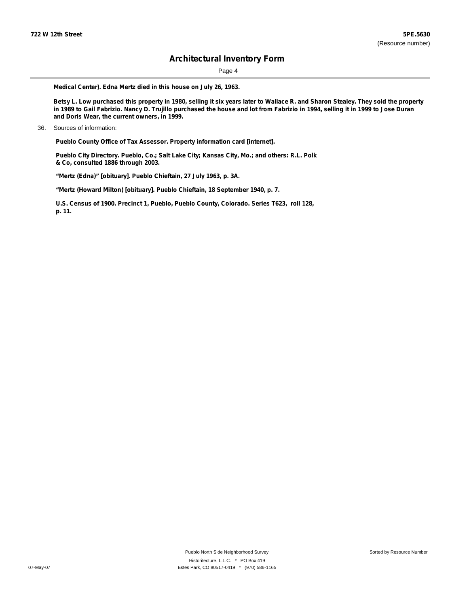Page 4

**Medical Center). Edna Mertz died in this house on July 26, 1963.**

Betsy L. Low purchased this property in 1980, selling it six years later to Wallace R. and Sharon Stealey. They sold the property in 1989 to Gail Fabrizio. Nancy D. Trujillo purchased the house and lot from Fabrizio in 1994, selling it in 1999 to Jose Duran **and Doris Wear, the current owners, in 1999.**

**Pueblo County Office of Tax Assessor. Property information card [internet].**

**Pueblo City Directory. Pueblo, Co.; Salt Lake City; Kansas City, Mo.; and others: R.L. Polk & Co, consulted 1886 through 2003.**

**"Mertz (Edna)" [obituary]. Pueblo Chieftain, 27 July 1963, p. 3A.**

**"Mertz (Howard Milton) [obituary]. Pueblo Chieftain, 18 September 1940, p. 7.**

**U.S. Census of 1900. Precinct 1, Pueblo, Pueblo County, Colorado. Series T623, roll 128, p. 11.**

<sup>36.</sup> Sources of information: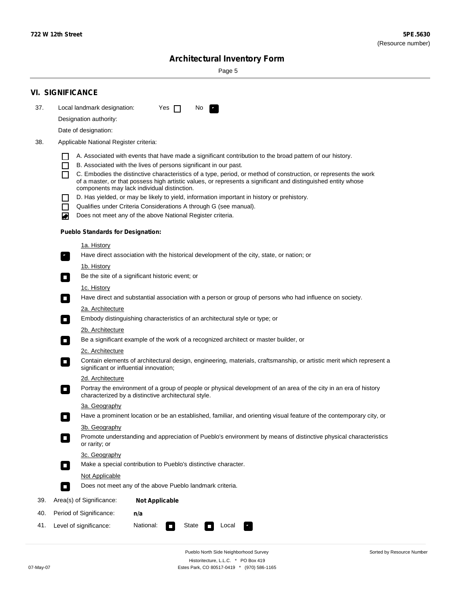$\sim$ 

Sorted by Resource Number

# **Architectural Inventory Form**

Page 5

|                                                                             | <b>VI. SIGNIFICANCE</b>                                                                                                          |                                                                                                                               |                                                                                                                                                                         |  |  |  |  |  |  |
|-----------------------------------------------------------------------------|----------------------------------------------------------------------------------------------------------------------------------|-------------------------------------------------------------------------------------------------------------------------------|-------------------------------------------------------------------------------------------------------------------------------------------------------------------------|--|--|--|--|--|--|
| 37.                                                                         |                                                                                                                                  | Local landmark designation:                                                                                                   | Yes $\Box$<br>No.<br>$\mathcal{F}_\alpha$                                                                                                                               |  |  |  |  |  |  |
|                                                                             | Designation authority:                                                                                                           |                                                                                                                               |                                                                                                                                                                         |  |  |  |  |  |  |
|                                                                             |                                                                                                                                  | Date of designation:                                                                                                          |                                                                                                                                                                         |  |  |  |  |  |  |
| 38.                                                                         |                                                                                                                                  | Applicable National Register criteria:                                                                                        |                                                                                                                                                                         |  |  |  |  |  |  |
|                                                                             | $\mathsf{L}$                                                                                                                     |                                                                                                                               | A. Associated with events that have made a significant contribution to the broad pattern of our history.                                                                |  |  |  |  |  |  |
|                                                                             | П                                                                                                                                |                                                                                                                               | B. Associated with the lives of persons significant in our past.                                                                                                        |  |  |  |  |  |  |
|                                                                             | П                                                                                                                                |                                                                                                                               | C. Embodies the distinctive characteristics of a type, period, or method of construction, or represents the work                                                        |  |  |  |  |  |  |
|                                                                             |                                                                                                                                  |                                                                                                                               | of a master, or that possess high artistic values, or represents a significant and distinguished entity whose<br>components may lack individual distinction.            |  |  |  |  |  |  |
|                                                                             | $\Box$                                                                                                                           |                                                                                                                               | D. Has yielded, or may be likely to yield, information important in history or prehistory.                                                                              |  |  |  |  |  |  |
|                                                                             | П                                                                                                                                |                                                                                                                               | Qualifies under Criteria Considerations A through G (see manual).                                                                                                       |  |  |  |  |  |  |
|                                                                             | O                                                                                                                                |                                                                                                                               | Does not meet any of the above National Register criteria.                                                                                                              |  |  |  |  |  |  |
|                                                                             |                                                                                                                                  | <b>Pueblo Standards for Designation:</b>                                                                                      |                                                                                                                                                                         |  |  |  |  |  |  |
|                                                                             |                                                                                                                                  | 1a. History                                                                                                                   |                                                                                                                                                                         |  |  |  |  |  |  |
|                                                                             | $\mathbf{r}_\perp$                                                                                                               |                                                                                                                               | Have direct association with the historical development of the city, state, or nation; or                                                                               |  |  |  |  |  |  |
| <u>1b. History</u>                                                          |                                                                                                                                  |                                                                                                                               |                                                                                                                                                                         |  |  |  |  |  |  |
| Be the site of a significant historic event; or<br>$\overline{\phantom{a}}$ |                                                                                                                                  |                                                                                                                               |                                                                                                                                                                         |  |  |  |  |  |  |
|                                                                             | 1c. History<br>Have direct and substantial association with a person or group of persons who had influence on society.<br>$\Box$ |                                                                                                                               |                                                                                                                                                                         |  |  |  |  |  |  |
|                                                                             |                                                                                                                                  |                                                                                                                               |                                                                                                                                                                         |  |  |  |  |  |  |
|                                                                             |                                                                                                                                  | 2a. Architecture<br>Embody distinguishing characteristics of an architectural style or type; or<br>$\Box$<br>2b. Architecture |                                                                                                                                                                         |  |  |  |  |  |  |
|                                                                             |                                                                                                                                  |                                                                                                                               |                                                                                                                                                                         |  |  |  |  |  |  |
|                                                                             | Be a significant example of the work of a recognized architect or master builder, or<br>$\sim$                                   |                                                                                                                               |                                                                                                                                                                         |  |  |  |  |  |  |
|                                                                             |                                                                                                                                  | 2c. Architecture                                                                                                              |                                                                                                                                                                         |  |  |  |  |  |  |
|                                                                             | $\overline{\phantom{a}}$                                                                                                         |                                                                                                                               | Contain elements of architectural design, engineering, materials, craftsmanship, or artistic merit which represent a<br>significant or influential innovation;          |  |  |  |  |  |  |
|                                                                             |                                                                                                                                  | 2d. Architecture                                                                                                              |                                                                                                                                                                         |  |  |  |  |  |  |
|                                                                             | $\overline{\phantom{a}}$                                                                                                         |                                                                                                                               | Portray the environment of a group of people or physical development of an area of the city in an era of history<br>characterized by a distinctive architectural style. |  |  |  |  |  |  |
|                                                                             |                                                                                                                                  | 3a. Geography                                                                                                                 |                                                                                                                                                                         |  |  |  |  |  |  |
|                                                                             |                                                                                                                                  |                                                                                                                               | Have a prominent location or be an established, familiar, and orienting visual feature of the contemporary city, or                                                     |  |  |  |  |  |  |
|                                                                             |                                                                                                                                  | 3b. Geography                                                                                                                 |                                                                                                                                                                         |  |  |  |  |  |  |
|                                                                             |                                                                                                                                  | or rarity; or                                                                                                                 | Promote understanding and appreciation of Pueblo's environment by means of distinctive physical characteristics                                                         |  |  |  |  |  |  |
|                                                                             |                                                                                                                                  | 3c. Geography                                                                                                                 |                                                                                                                                                                         |  |  |  |  |  |  |
|                                                                             | $\overline{\phantom{a}}$                                                                                                         |                                                                                                                               | Make a special contribution to Pueblo's distinctive character.                                                                                                          |  |  |  |  |  |  |
|                                                                             |                                                                                                                                  | Not Applicable                                                                                                                |                                                                                                                                                                         |  |  |  |  |  |  |
|                                                                             | $\Box$                                                                                                                           |                                                                                                                               | Does not meet any of the above Pueblo landmark criteria.                                                                                                                |  |  |  |  |  |  |
| 39.                                                                         |                                                                                                                                  | Area(s) of Significance:                                                                                                      | <b>Not Applicable</b>                                                                                                                                                   |  |  |  |  |  |  |
| 40.                                                                         |                                                                                                                                  | Period of Significance:                                                                                                       | n/a                                                                                                                                                                     |  |  |  |  |  |  |
| 41.                                                                         |                                                                                                                                  | Level of significance:                                                                                                        | National:<br>State<br>Local<br>$\sim$                                                                                                                                   |  |  |  |  |  |  |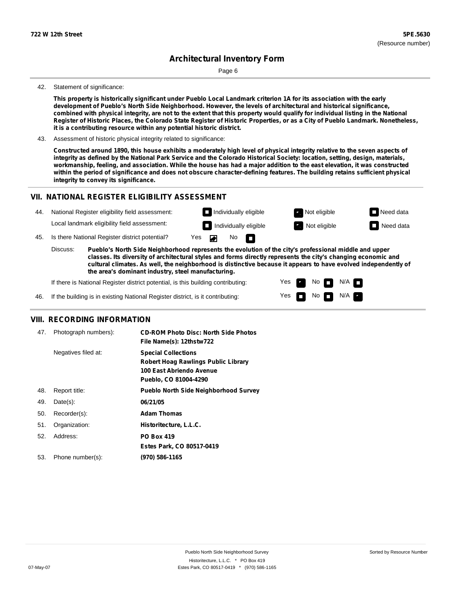Page 6

#### 42. Statement of significance:

This property is historically significant under Pueblo Local Landmark criterion 1A for its association with the early **development of Pueblo's North Side Neighborhood. However, the levels of architectural and historical significance,** combined with physical integrity, are not to the extent that this property would qualify for individual listing in the National Register of Historic Places, the Colorado State Register of Historic Properties, or as a City of Pueblo Landmark. Nonetheless, **it is a contributing resource within any potential historic district.**

43. Assessment of historic physical integrity related to significance:

Constructed around 1890, this house exhibits a moderately high level of physical integrity relative to the seven aspects of integrity as defined by the National Park Service and the Colorado Historical Society: location, setting, design, materials, workmanship, feeling, and association. While the house has had a major addition to the east elevation, it was constructed within the period of significance and does not obscure character-defining features. The building retains sufficient physical **integrity to convey its significance.**

#### **VII. NATIONAL REGISTER ELIGIBILITY ASSESSMENT**

| 44. | National Register eligibility field assessment: |                                                                                                                                                                                                                        |                      | $\Box$ Individually eligible |                   |                              | Not eligible | $\Box$ Need data |
|-----|-------------------------------------------------|------------------------------------------------------------------------------------------------------------------------------------------------------------------------------------------------------------------------|----------------------|------------------------------|-------------------|------------------------------|--------------|------------------|
|     |                                                 | Local landmark eligibility field assessment:                                                                                                                                                                           |                      |                              |                   | $\Box$ Individually eligible | Not eligible | $\Box$ Need data |
| 45. |                                                 | Is there National Register district potential?                                                                                                                                                                         | $Yes$ $\blacksquare$ |                              | No $\blacksquare$ |                              |              |                  |
|     | Discuss:                                        | Pueblo's North Side Neighborhood represents the evolution of the city's professional middle and upper<br>classes. Its diversity of architectural styles and forms directly represents the city's changing economic and |                      |                              |                   |                              |              |                  |

**classes. Its diversity of architectural styles and forms directly represents the city's changing economic and cultural climates. As well, the neighborhood is distinctive because it appears to have evolved independently of the area's dominant industry, steel manufacturing.**

> Yes Yes

No

No  $\blacksquare$  N/A  $\blacksquare$ 

 $N/A$ 

If there is National Register district potential, is this building contributing:

46. If the building is in existing National Register district, is it contributing:

### **VIII. RECORDING INFORMATION**

| 47. | Photograph numbers): | <b>CD-ROM Photo Disc: North Side Photos</b><br>File Name(s): 12thstw722                                                       |
|-----|----------------------|-------------------------------------------------------------------------------------------------------------------------------|
|     | Negatives filed at:  | <b>Special Collections</b><br><b>Robert Hoag Rawlings Public Library</b><br>100 East Abriendo Avenue<br>Pueblo, CO 81004-4290 |
| 48. | Report title:        | <b>Pueblo North Side Neighborhood Survey</b>                                                                                  |
| 49. | $Date(s)$ :          | 06/21/05                                                                                                                      |
| 50. | Recorder(s):         | <b>Adam Thomas</b>                                                                                                            |
| 51. | Organization:        | Historitecture, L.L.C.                                                                                                        |
| 52. | Address:             | <b>PO Box 419</b>                                                                                                             |
|     |                      | Estes Park, CO 80517-0419                                                                                                     |
| 53. | Phone number(s):     | (970) 586-1165                                                                                                                |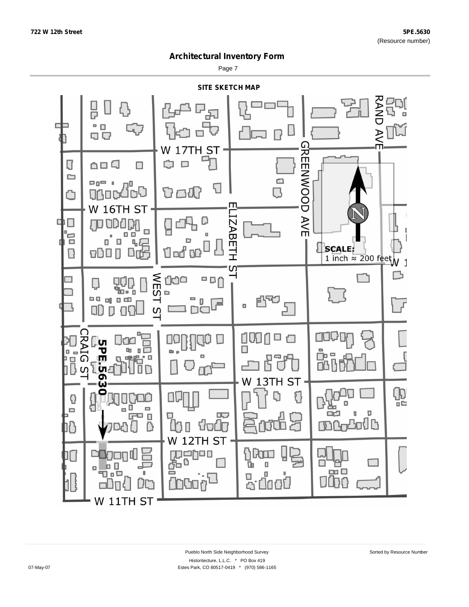Page 7